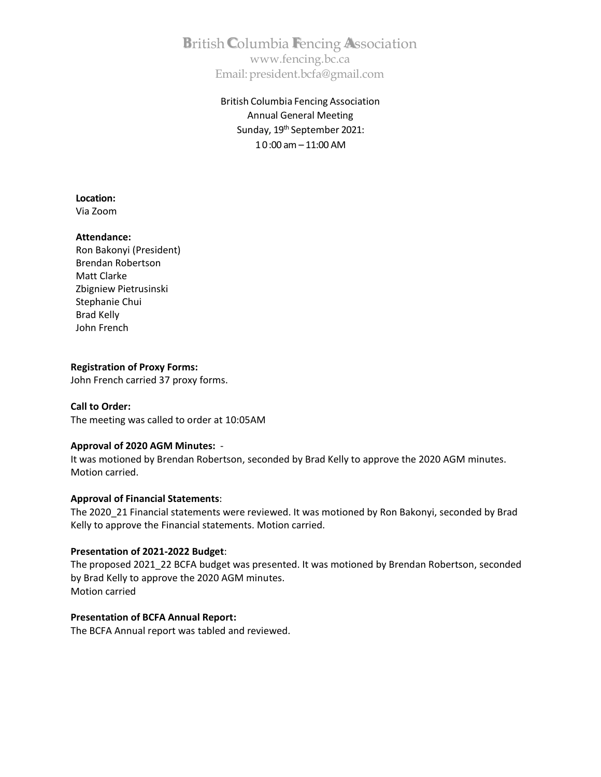**B**ritish**C**olumbia **F**encing **A**ssociation [www.fencing.bc.ca](http://www.fencing.bc.ca/) Email[:president.bcfa@gmail.com](mailto:president.bcfa@gmail.com)

> British Columbia Fencing Association Annual General Meeting Sunday, 19<sup>th</sup> September 2021: 10:00 am – 11:00 AM

**Location:**

Via Zoom

## **Attendance:**

Ron Bakonyi (President) Brendan Robertson Matt Clarke Zbigniew Pietrusinski Stephanie Chui Brad Kelly John French

## **Registration of Proxy Forms:**

John French carried 37 proxy forms.

## **Call to Order:**

The meeting was called to order at 10:05AM

## **Approval of 2020 AGM Minutes:** -

It was motioned by Brendan Robertson, seconded by Brad Kelly to approve the 2020 AGM minutes. Motion carried.

## **Approval of Financial Statements**:

The 2020\_21 Financial statements were reviewed. It was motioned by Ron Bakonyi, seconded by Brad Kelly to approve the Financial statements. Motion carried.

## **Presentation of 2021-2022 Budget**:

The proposed 2021\_22 BCFA budget was presented. It was motioned by Brendan Robertson, seconded by Brad Kelly to approve the 2020 AGM minutes. Motion carried

## **Presentation of BCFA Annual Report:**

The BCFA Annual report was tabled and reviewed.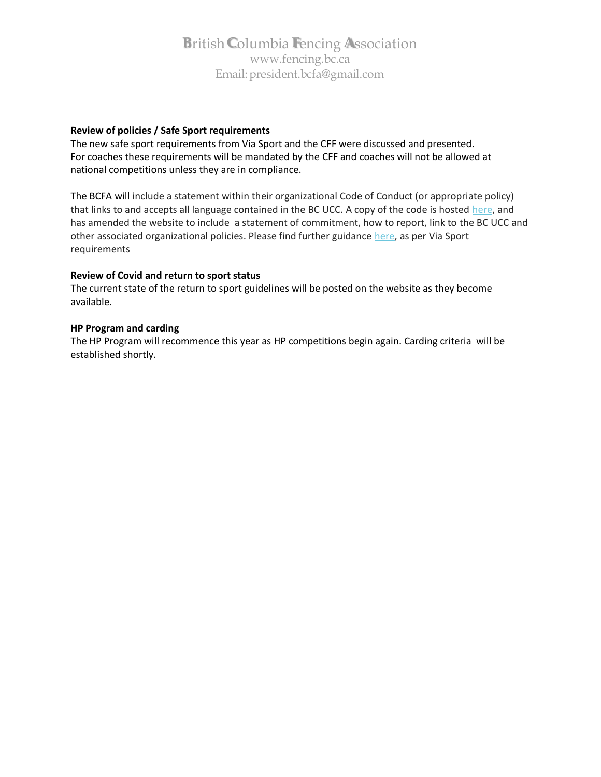## **B**ritish**C**olumbia **F**encing **A**ssociation [www.fencing.bc.ca](http://www.fencing.bc.ca/) Email[:president.bcfa@gmail.com](mailto:president.bcfa@gmail.com)

## **Review of policies / Safe Sport requirements**

The new safe sport requirements from Via Sport and the CFF were discussed and presented. For coaches these requirements will be mandated by the CFF and coaches will not be allowed at national competitions unless they are in compliance.

The BCFA will include a statement within their organizational Code of Conduct (or appropriate policy) that links to and accepts all language contained in the BC UCC. A copy of the code is hosted [here,](https://viasport.us3.list-manage.com/track/click?u=b9a426897badc62c6c9b3bad4&id=aba53db185&e=9e535d1d7c) and has amended the website to include a statement of commitment, how to report, link to the BC UCC and other associated organizational policies. Please find further guidance [here,](https://viasport.us3.list-manage.com/track/click?u=b9a426897badc62c6c9b3bad4&id=335d6c9cd1&e=9e535d1d7c) as per Via Sport requirements

## **Review of Covid and return to sport status**

The current state of the return to sport guidelines will be posted on the website as they become available.

## **HP Program and carding**

The HP Program will recommence this year as HP competitions begin again. Carding criteria will be established shortly.